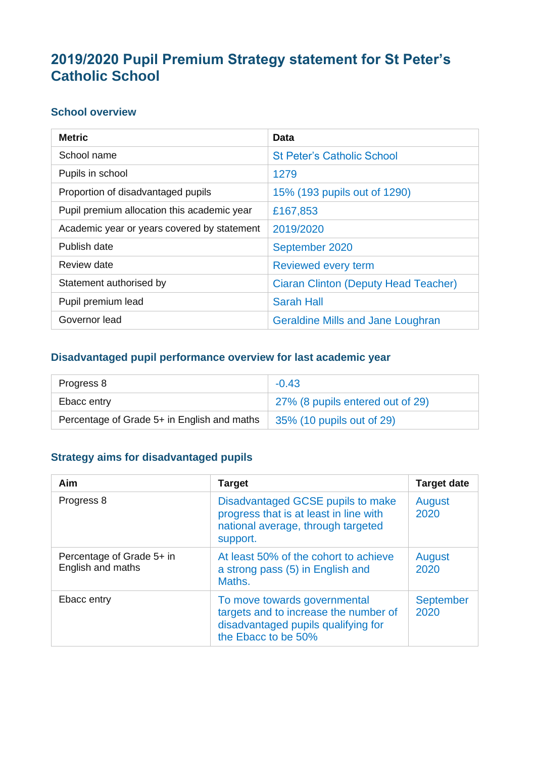# **2019/2020 Pupil Premium Strategy statement for St Peter's Catholic School**

#### **School overview**

| <b>Metric</b>                               | <b>Data</b>                                 |
|---------------------------------------------|---------------------------------------------|
| School name                                 | <b>St Peter's Catholic School</b>           |
| Pupils in school                            | 1279                                        |
| Proportion of disadvantaged pupils          | 15% (193 pupils out of 1290)                |
| Pupil premium allocation this academic year | £167,853                                    |
| Academic year or years covered by statement | 2019/2020                                   |
| Publish date                                | September 2020                              |
| Review date                                 | Reviewed every term                         |
| Statement authorised by                     | <b>Ciaran Clinton (Deputy Head Teacher)</b> |
| Pupil premium lead                          | <b>Sarah Hall</b>                           |
| Governor lead                               | <b>Geraldine Mills and Jane Loughran</b>    |

### **Disadvantaged pupil performance overview for last academic year**

| Progress 8                                  | $-0.43$                          |
|---------------------------------------------|----------------------------------|
| Ebacc entry                                 | 27% (8 pupils entered out of 29) |
| Percentage of Grade 5+ in English and maths | 35% (10 pupils out of 29)        |

#### **Strategy aims for disadvantaged pupils**

| <b>Aim</b>                                     | <b>Target</b>                                                                                                                       | <b>Target date</b>       |
|------------------------------------------------|-------------------------------------------------------------------------------------------------------------------------------------|--------------------------|
| Progress 8                                     | Disadvantaged GCSE pupils to make<br>progress that is at least in line with<br>national average, through targeted<br>support.       | August<br>2020           |
| Percentage of Grade 5+ in<br>English and maths | At least 50% of the cohort to achieve<br>a strong pass (5) in English and<br>Maths.                                                 | August<br>2020           |
| Ebacc entry                                    | To move towards governmental<br>targets and to increase the number of<br>disadvantaged pupils qualifying for<br>the Ebacc to be 50% | <b>September</b><br>2020 |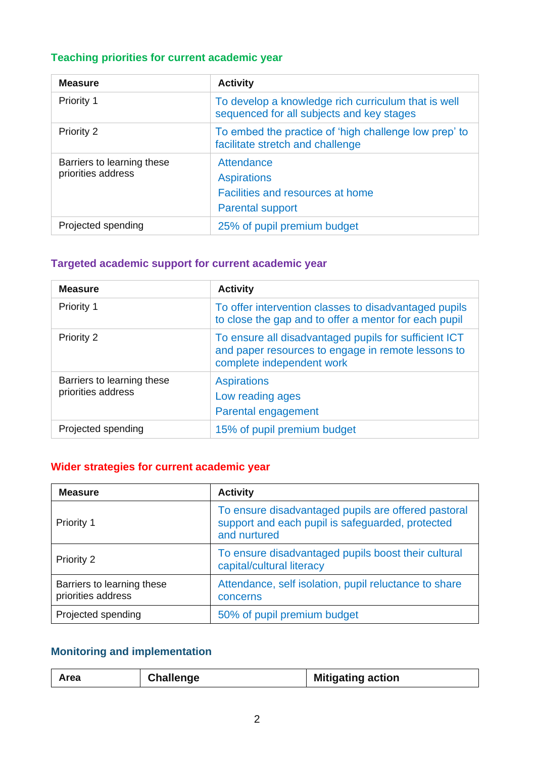# **Teaching priorities for current academic year**

| <b>Measure</b>                                   | <b>Activity</b>                                                                                  |
|--------------------------------------------------|--------------------------------------------------------------------------------------------------|
| <b>Priority 1</b>                                | To develop a knowledge rich curriculum that is well<br>sequenced for all subjects and key stages |
| Priority 2                                       | To embed the practice of 'high challenge low prep' to<br>facilitate stretch and challenge        |
| Barriers to learning these<br>priorities address | Attendance<br><b>Aspirations</b><br>Facilities and resources at home<br><b>Parental support</b>  |
| Projected spending                               | 25% of pupil premium budget                                                                      |

# **Targeted academic support for current academic year**

| <b>Measure</b>                                   | <b>Activity</b>                                                                                                                          |  |
|--------------------------------------------------|------------------------------------------------------------------------------------------------------------------------------------------|--|
| <b>Priority 1</b>                                | To offer intervention classes to disadvantaged pupils<br>to close the gap and to offer a mentor for each pupil                           |  |
| Priority 2                                       | To ensure all disadvantaged pupils for sufficient ICT<br>and paper resources to engage in remote lessons to<br>complete independent work |  |
| Barriers to learning these<br>priorities address | <b>Aspirations</b><br>Low reading ages<br>Parental engagement                                                                            |  |
| Projected spending                               | 15% of pupil premium budget                                                                                                              |  |

#### **Wider strategies for current academic year**

| <b>Measure</b>                                   | <b>Activity</b>                                                                                                         |
|--------------------------------------------------|-------------------------------------------------------------------------------------------------------------------------|
| Priority 1                                       | To ensure disadvantaged pupils are offered pastoral<br>support and each pupil is safeguarded, protected<br>and nurtured |
| <b>Priority 2</b>                                | To ensure disadvantaged pupils boost their cultural<br>capital/cultural literacy                                        |
| Barriers to learning these<br>priorities address | Attendance, self isolation, pupil reluctance to share<br>concerns                                                       |
| Projected spending                               | 50% of pupil premium budget                                                                                             |

# **Monitoring and implementation**

|  |  | Area | <b>Challenge</b> | <b>Mitigating action</b> |
|--|--|------|------------------|--------------------------|
|--|--|------|------------------|--------------------------|